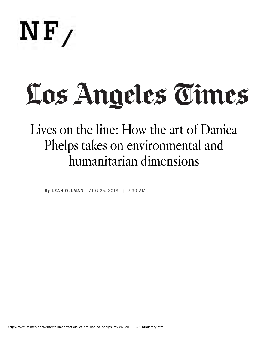

## Los Angeles Times

## Lives on the line: How the art of Danica Phelps takes on environmental and humanitarian dimensions

By LEAH OLLMAN AUG 25, 2018 | 7:30 AM

http://www.latimes.com/entertainment/arts/la-et-cm-danica-phelps-review-20180825-htmlstory.html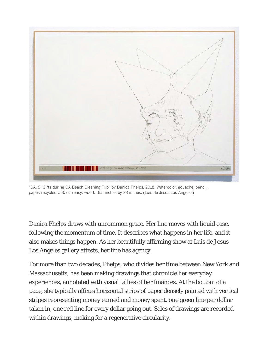

"CA, 9: Gifts during CA Beach Cleaning Trip" by Danica Phelps, 2018. Watercolor, gouache, pencil, paper, recycled U.S. currency, wood, 16.5 inches by 23 inches. (Luis de Jesus Los Angeles)

Danica Phelps draws with uncommon grace. Her line moves with liquid ease, following the momentum of time. It describes what happens in her life, and it also makes things happen. As her beautifully affirming show at Luis de Jesus Los Angeles gallery attests, her line has agency.

For more than two decades, Phelps, who divides her time between New York and Massachusetts, has been making drawings that chronicle her everyday experiences, annotated with visual tallies of her finances. At the bottom of a page, she typically affixes horizontal strips of paper densely painted with vertical stripes representing money earned and money spent, one green line per dollar taken in, one red line for every dollar going out. Sales of drawings are recorded within drawings, making for a regenerative circularity.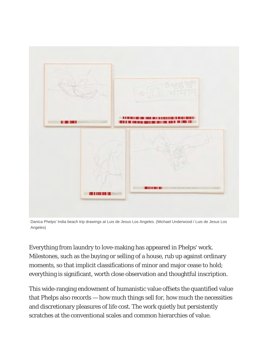

Danica Phelps' India beach trip drawings at Luis de Jesus Los Angeles. (Michael Underwood / Luis de Jesus Los Angeles)

Everything from laundry to love-making has appeared in Phelps' work. Milestones, such as the buying or selling of a house, rub up against ordinary moments, so that implicit classifications of minor and major cease to hold; everything is significant, worth close observation and thoughtful inscription.

This wide-ranging endowment of humanistic value offsets the quantified value that Phelps also records — how much things sell for, how much the necessities and discretionary pleasures of life cost. The work quietly but persistently scratches at the conventional scales and common hierarchies of value.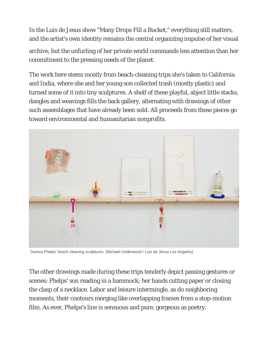In the Luis de Jesus show "Many Drops Fill a Bucket," everything still matters, and the artist's own identity remains the central organizing impulse of her visual

archive, but the unfurling of her private world commands less attention than her commitment to the pressing needs of the planet.

The work here stems mostly from beach-cleaning trips she's taken to California and India, where she and her young son collected trash (mostly plastic) and turned some of it into tiny sculptures. A shelf of these playful, abject little stacks, dangles and weavings fills the back gallery, alternating with drawings of other such assemblages that have already been sold. All proceeds from these pieces go toward environmental and humanitarian nonprofits.



Danica Phelps' beach cleaning sculptures. (Michael Underwood / Luis de Jesus Los Angeles)

The other drawings made during these trips tenderly depict passing gestures or scenes: Phelps' son reading in a hammock; her hands cutting paper or closing the clasp of a necklace. Labor and leisure intermingle, as do neighboring moments, their contours merging like overlapping frames from a stop-motion film. As ever, Phelps's line is sensuous and pure, gorgeous as poetry.